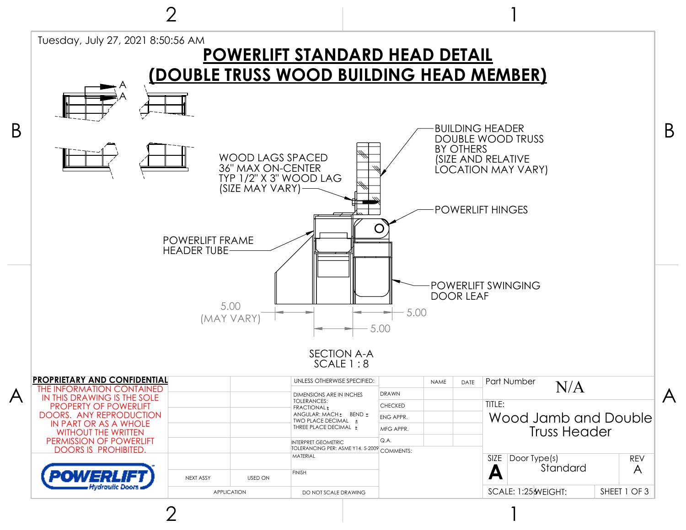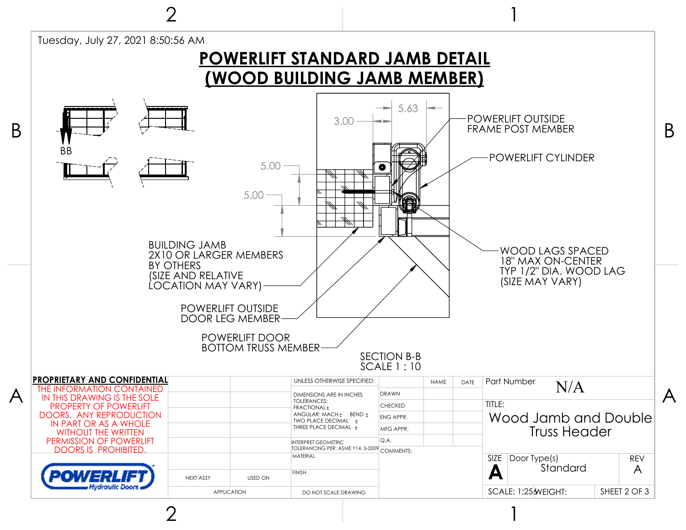